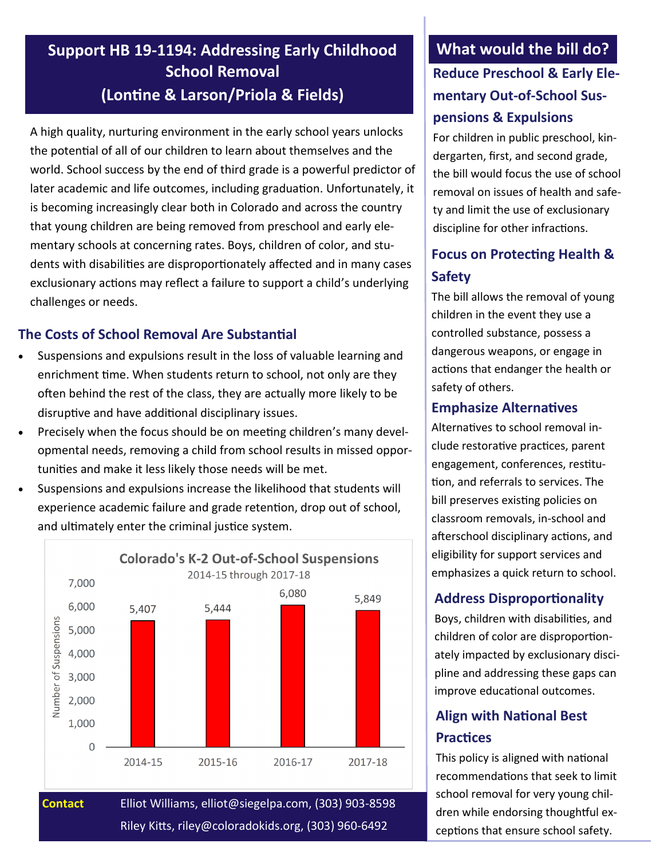# **Support HB 19-1194: Addressing Early Childhood School Removal (Lontine & Larson/Priola & Fields)**

A high quality, nurturing environment in the early school years unlocks the potential of all of our children to learn about themselves and the world. School success by the end of third grade is a powerful predictor of later academic and life outcomes, including graduation. Unfortunately, it is becoming increasingly clear both in Colorado and across the country that young children are being removed from preschool and early elementary schools at concerning rates. Boys, children of color, and students with disabilities are disproportionately affected and in many cases exclusionary actions may reflect a failure to support a child's underlying challenges or needs.

### **The Costs of School Removal Are Substantial**

- Suspensions and expulsions result in the loss of valuable learning and enrichment time. When students return to school, not only are they often behind the rest of the class, they are actually more likely to be disruptive and have additional disciplinary issues.
- Precisely when the focus should be on meeting children's many developmental needs, removing a child from school results in missed opportunities and make it less likely those needs will be met.
- Suspensions and expulsions increase the likelihood that students will experience academic failure and grade retention, drop out of school, and ultimately enter the criminal justice system.



**Contact** Elliot Williams, elliot@siegelpa.com, (303) 903-8598 Riley Kitts, riley@coloradokids.org, (303) 960-6492

# **What would the bill do? Reduce Preschool & Early Elementary Out-of-School Suspensions & Expulsions**

For children in public preschool, kindergarten, first, and second grade, the bill would focus the use of school removal on issues of health and safety and limit the use of exclusionary discipline for other infractions.

## **Focus on Protecting Health & Safety**

The bill allows the removal of young children in the event they use a controlled substance, possess a dangerous weapons, or engage in actions that endanger the health or safety of others.

#### **Emphasize Alternatives**

Alternatives to school removal include restorative practices, parent engagement, conferences, restitution, and referrals to services. The bill preserves existing policies on classroom removals, in-school and afterschool disciplinary actions, and eligibility for support services and emphasizes a quick return to school.

#### **Address Disproportionality**

Boys, children with disabilities, and children of color are disproportionately impacted by exclusionary discipline and addressing these gaps can improve educational outcomes.

## **Align with National Best Practices**

This policy is aligned with national recommendations that seek to limit school removal for very young children while endorsing thoughtful exceptions that ensure school safety.